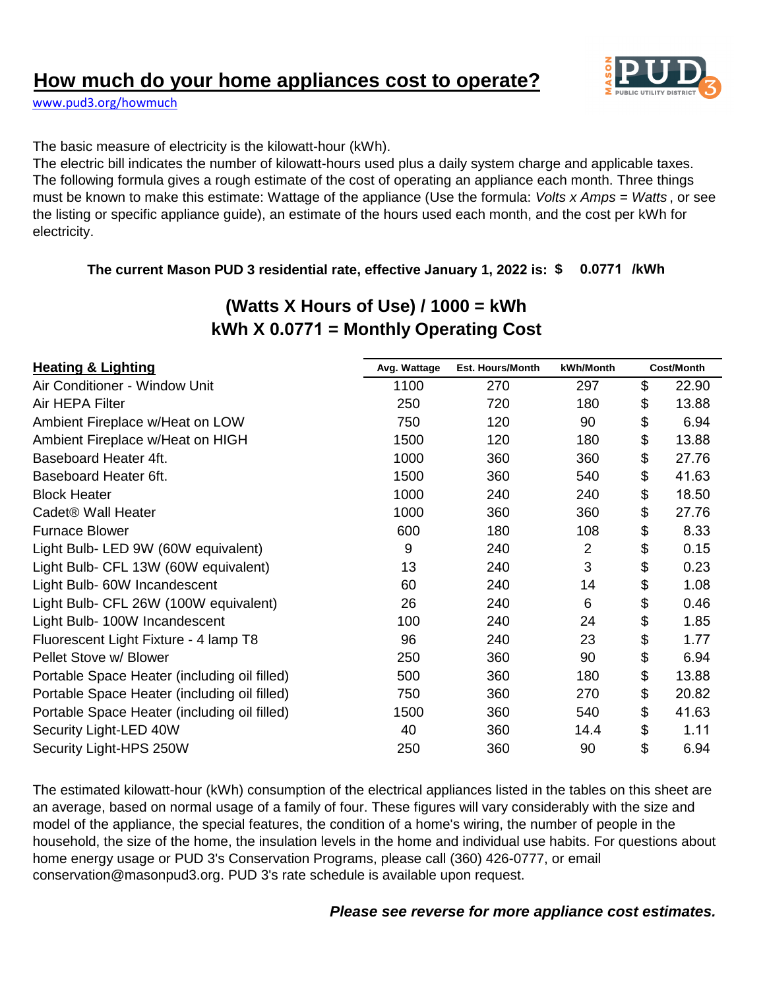# **How much do your home appliances cost to operate?**



[www.pud3.org/howmuch](http://www.pud3.org/howmuch)

The basic measure of electricity is the kilowatt-hour (kWh).

The electric bill indicates the number of kilowatt-hours used plus a daily system charge and applicable taxes. The following formula gives a rough estimate of the cost of operating an appliance each month. Three things must be known to make this estimate: Wattage of the appliance (Use the formula: *Volts x Amps = Watts* , or see the listing or specific appliance guide), an estimate of the hours used each month, and the cost per kWh for electricity.

### **The current Mason PUD 3 residential rate, effective January 1, 2022 is: \$ 0.0771 /kWh**

| <b>Heating &amp; Lighting</b>                | Avg. Wattage | <b>Est. Hours/Month</b> | kWh/Month      | <b>Cost/Month</b> |       |
|----------------------------------------------|--------------|-------------------------|----------------|-------------------|-------|
| Air Conditioner - Window Unit                | 1100         | 270                     | 297            | \$                | 22.90 |
| Air HEPA Filter                              | 250          | 720                     | 180            | \$                | 13.88 |
| Ambient Fireplace w/Heat on LOW              | 750          | 120                     | 90             | \$                | 6.94  |
| Ambient Fireplace w/Heat on HIGH             | 1500         | 120                     | 180            | \$                | 13.88 |
| Baseboard Heater 4ft.                        | 1000         | 360                     | 360            | \$                | 27.76 |
| Baseboard Heater 6ft.                        | 1500         | 360                     | 540            | \$                | 41.63 |
| <b>Block Heater</b>                          | 1000         | 240                     | 240            | \$                | 18.50 |
| Cadet <sup>®</sup> Wall Heater               | 1000         | 360                     | 360            | \$                | 27.76 |
| <b>Furnace Blower</b>                        | 600          | 180                     | 108            | \$                | 8.33  |
| Light Bulb- LED 9W (60W equivalent)          | 9            | 240                     | $\overline{2}$ | \$                | 0.15  |
| Light Bulb- CFL 13W (60W equivalent)         | 13           | 240                     | 3              | \$                | 0.23  |
| Light Bulb- 60W Incandescent                 | 60           | 240                     | 14             | \$                | 1.08  |
| Light Bulb- CFL 26W (100W equivalent)        | 26           | 240                     | 6              | \$                | 0.46  |
| Light Bulb- 100W Incandescent                | 100          | 240                     | 24             | \$                | 1.85  |
| Fluorescent Light Fixture - 4 lamp T8        | 96           | 240                     | 23             | \$                | 1.77  |
| Pellet Stove w/ Blower                       | 250          | 360                     | 90             | \$                | 6.94  |
| Portable Space Heater (including oil filled) | 500          | 360                     | 180            | \$                | 13.88 |
| Portable Space Heater (including oil filled) | 750          | 360                     | 270            | \$                | 20.82 |
| Portable Space Heater (including oil filled) | 1500         | 360                     | 540            | \$                | 41.63 |
| Security Light-LED 40W                       | 40           | 360                     | 14.4           | \$                | 1.11  |
| Security Light-HPS 250W                      | 250          | 360                     | 90             | \$                | 6.94  |

# **(Watts X Hours of Use) / 1000 = kWh kWh X 0.0771 = Monthly Operating Cost**

The estimated kilowatt-hour (kWh) consumption of the electrical appliances listed in the tables on this sheet are an average, based on normal usage of a family of four. These figures will vary considerably with the size and model of the appliance, the special features, the condition of a home's wiring, the number of people in the household, the size of the home, the insulation levels in the home and individual use habits. For questions about home energy usage or PUD 3's Conservation Programs, please call (360) 426-0777, or email conservation@masonpud3.org. PUD 3's rate schedule is available upon request.

### *Please see reverse for more appliance cost estimates.*